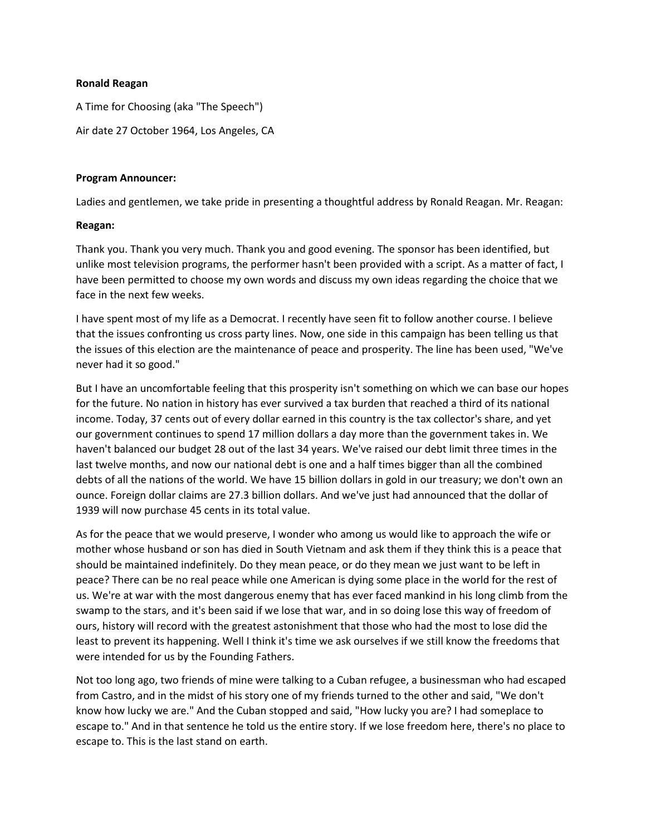## **Ronald Reagan**

A Time for Choosing (aka "The Speech") Air date 27 October 1964, Los Angeles, CA

## **Program Announcer:**

Ladies and gentlemen, we take pride in presenting a thoughtful address by Ronald Reagan. Mr. Reagan:

## **Reagan:**

Thank you. Thank you very much. Thank you and good evening. The sponsor has been identified, but unlike most television programs, the performer hasn't been provided with a script. As a matter of fact, I have been permitted to choose my own words and discuss my own ideas regarding the choice that we face in the next few weeks.

I have spent most of my life as a Democrat. I recently have seen fit to follow another course. I believe that the issues confronting us cross party lines. Now, one side in this campaign has been telling us that the issues of this election are the maintenance of peace and prosperity. The line has been used, "We've never had it so good."

But I have an uncomfortable feeling that this prosperity isn't something on which we can base our hopes for the future. No nation in history has ever survived a tax burden that reached a third of its national income. Today, 37 cents out of every dollar earned in this country is the tax collector's share, and yet our government continues to spend 17 million dollars a day more than the government takes in. We haven't balanced our budget 28 out of the last 34 years. We've raised our debt limit three times in the last twelve months, and now our national debt is one and a half times bigger than all the combined debts of all the nations of the world. We have 15 billion dollars in gold in our treasury; we don't own an ounce. Foreign dollar claims are 27.3 billion dollars. And we've just had announced that the dollar of 1939 will now purchase 45 cents in its total value.

As for the peace that we would preserve, I wonder who among us would like to approach the wife or mother whose husband or son has died in South Vietnam and ask them if they think this is a peace that should be maintained indefinitely. Do they mean peace, or do they mean we just want to be left in peace? There can be no real peace while one American is dying some place in the world for the rest of us. We're at war with the most dangerous enemy that has ever faced mankind in his long climb from the swamp to the stars, and it's been said if we lose that war, and in so doing lose this way of freedom of ours, history will record with the greatest astonishment that those who had the most to lose did the least to prevent its happening. Well I think it's time we ask ourselves if we still know the freedoms that were intended for us by the Founding Fathers.

Not too long ago, two friends of mine were talking to a Cuban refugee, a businessman who had escaped from Castro, and in the midst of his story one of my friends turned to the other and said, "We don't know how lucky we are." And the Cuban stopped and said, "How lucky you are? I had someplace to escape to." And in that sentence he told us the entire story. If we lose freedom here, there's no place to escape to. This is the last stand on earth.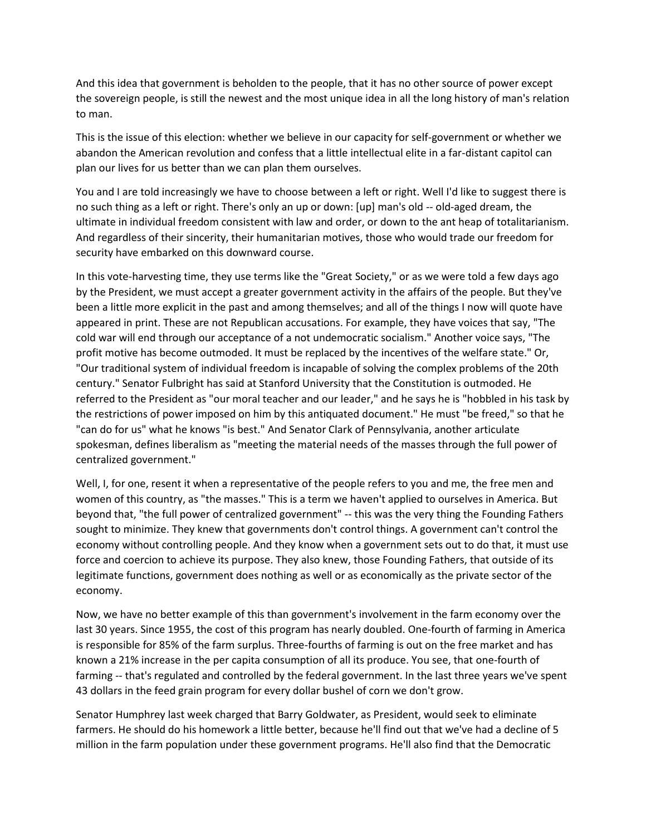And this idea that government is beholden to the people, that it has no other source of power except the sovereign people, is still the newest and the most unique idea in all the long history of man's relation to man.

This is the issue of this election: whether we believe in our capacity for self-government or whether we abandon the American revolution and confess that a little intellectual elite in a far-distant capitol can plan our lives for us better than we can plan them ourselves.

You and I are told increasingly we have to choose between a left or right. Well I'd like to suggest there is no such thing as a left or right. There's only an up or down: [up] man's old -- old-aged dream, the ultimate in individual freedom consistent with law and order, or down to the ant heap of totalitarianism. And regardless of their sincerity, their humanitarian motives, those who would trade our freedom for security have embarked on this downward course.

In this vote-harvesting time, they use terms like the "Great Society," or as we were told a few days ago by the President, we must accept a greater government activity in the affairs of the people. But they've been a little more explicit in the past and among themselves; and all of the things I now will quote have appeared in print. These are not Republican accusations. For example, they have voices that say, "The cold war will end through our acceptance of a not undemocratic socialism." Another voice says, "The profit motive has become outmoded. It must be replaced by the incentives of the welfare state." Or, "Our traditional system of individual freedom is incapable of solving the complex problems of the 20th century." Senator Fulbright has said at Stanford University that the Constitution is outmoded. He referred to the President as "our moral teacher and our leader," and he says he is "hobbled in his task by the restrictions of power imposed on him by this antiquated document." He must "be freed," so that he "can do for us" what he knows "is best." And Senator Clark of Pennsylvania, another articulate spokesman, defines liberalism as "meeting the material needs of the masses through the full power of centralized government."

Well, I, for one, resent it when a representative of the people refers to you and me, the free men and women of this country, as "the masses." This is a term we haven't applied to ourselves in America. But beyond that, "the full power of centralized government" -- this was the very thing the Founding Fathers sought to minimize. They knew that governments don't control things. A government can't control the economy without controlling people. And they know when a government sets out to do that, it must use force and coercion to achieve its purpose. They also knew, those Founding Fathers, that outside of its legitimate functions, government does nothing as well or as economically as the private sector of the economy.

Now, we have no better example of this than government's involvement in the farm economy over the last 30 years. Since 1955, the cost of this program has nearly doubled. One-fourth of farming in America is responsible for 85% of the farm surplus. Three-fourths of farming is out on the free market and has known a 21% increase in the per capita consumption of all its produce. You see, that one-fourth of farming -- that's regulated and controlled by the federal government. In the last three years we've spent 43 dollars in the feed grain program for every dollar bushel of corn we don't grow.

Senator Humphrey last week charged that Barry Goldwater, as President, would seek to eliminate farmers. He should do his homework a little better, because he'll find out that we've had a decline of 5 million in the farm population under these government programs. He'll also find that the Democratic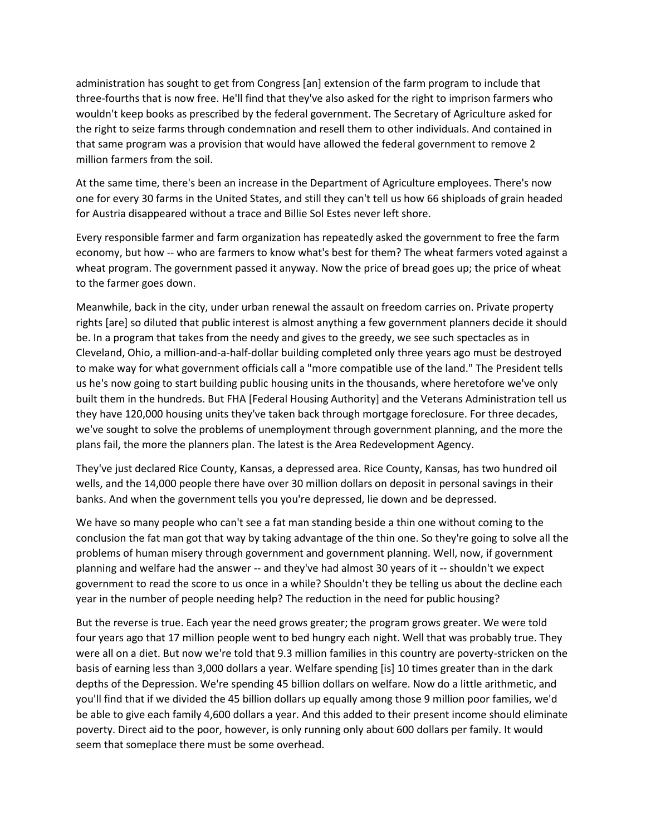administration has sought to get from Congress [an] extension of the farm program to include that three-fourths that is now free. He'll find that they've also asked for the right to imprison farmers who wouldn't keep books as prescribed by the federal government. The Secretary of Agriculture asked for the right to seize farms through condemnation and resell them to other individuals. And contained in that same program was a provision that would have allowed the federal government to remove 2 million farmers from the soil.

At the same time, there's been an increase in the Department of Agriculture employees. There's now one for every 30 farms in the United States, and still they can't tell us how 66 shiploads of grain headed for Austria disappeared without a trace and Billie Sol Estes never left shore.

Every responsible farmer and farm organization has repeatedly asked the government to free the farm economy, but how -- who are farmers to know what's best for them? The wheat farmers voted against a wheat program. The government passed it anyway. Now the price of bread goes up; the price of wheat to the farmer goes down.

Meanwhile, back in the city, under urban renewal the assault on freedom carries on. Private property rights [are] so diluted that public interest is almost anything a few government planners decide it should be. In a program that takes from the needy and gives to the greedy, we see such spectacles as in Cleveland, Ohio, a million-and-a-half-dollar building completed only three years ago must be destroyed to make way for what government officials call a "more compatible use of the land." The President tells us he's now going to start building public housing units in the thousands, where heretofore we've only built them in the hundreds. But FHA [Federal Housing Authority] and the Veterans Administration tell us they have 120,000 housing units they've taken back through mortgage foreclosure. For three decades, we've sought to solve the problems of unemployment through government planning, and the more the plans fail, the more the planners plan. The latest is the Area Redevelopment Agency.

They've just declared Rice County, Kansas, a depressed area. Rice County, Kansas, has two hundred oil wells, and the 14,000 people there have over 30 million dollars on deposit in personal savings in their banks. And when the government tells you you're depressed, lie down and be depressed.

We have so many people who can't see a fat man standing beside a thin one without coming to the conclusion the fat man got that way by taking advantage of the thin one. So they're going to solve all the problems of human misery through government and government planning. Well, now, if government planning and welfare had the answer -- and they've had almost 30 years of it -- shouldn't we expect government to read the score to us once in a while? Shouldn't they be telling us about the decline each year in the number of people needing help? The reduction in the need for public housing?

But the reverse is true. Each year the need grows greater; the program grows greater. We were told four years ago that 17 million people went to bed hungry each night. Well that was probably true. They were all on a diet. But now we're told that 9.3 million families in this country are poverty-stricken on the basis of earning less than 3,000 dollars a year. Welfare spending [is] 10 times greater than in the dark depths of the Depression. We're spending 45 billion dollars on welfare. Now do a little arithmetic, and you'll find that if we divided the 45 billion dollars up equally among those 9 million poor families, we'd be able to give each family 4,600 dollars a year. And this added to their present income should eliminate poverty. Direct aid to the poor, however, is only running only about 600 dollars per family. It would seem that someplace there must be some overhead.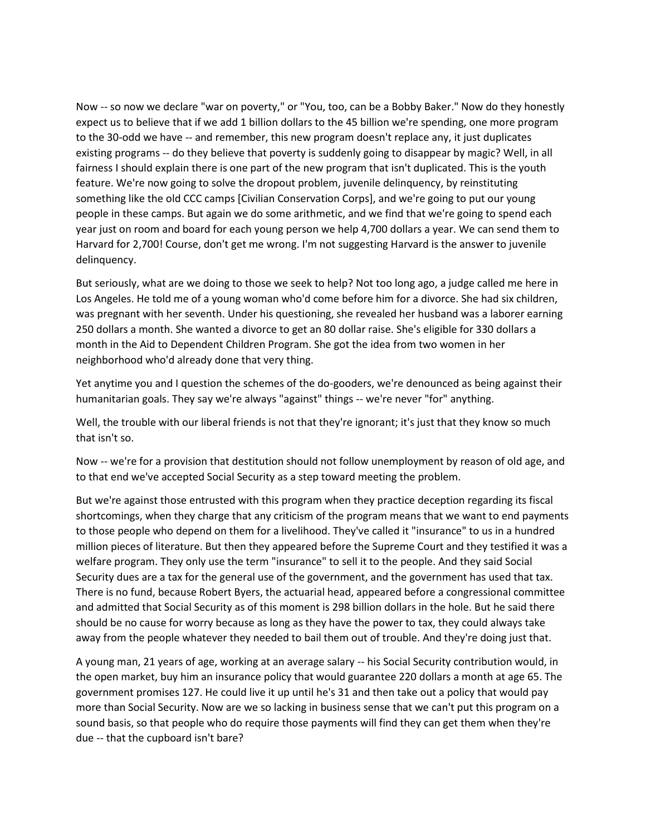Now -- so now we declare "war on poverty," or "You, too, can be a Bobby Baker." Now do they honestly expect us to believe that if we add 1 billion dollars to the 45 billion we're spending, one more program to the 30-odd we have -- and remember, this new program doesn't replace any, it just duplicates existing programs -- do they believe that poverty is suddenly going to disappear by magic? Well, in all fairness I should explain there is one part of the new program that isn't duplicated. This is the youth feature. We're now going to solve the dropout problem, juvenile delinquency, by reinstituting something like the old CCC camps [Civilian Conservation Corps], and we're going to put our young people in these camps. But again we do some arithmetic, and we find that we're going to spend each year just on room and board for each young person we help 4,700 dollars a year. We can send them to Harvard for 2,700! Course, don't get me wrong. I'm not suggesting Harvard is the answer to juvenile delinquency.

But seriously, what are we doing to those we seek to help? Not too long ago, a judge called me here in Los Angeles. He told me of a young woman who'd come before him for a divorce. She had six children, was pregnant with her seventh. Under his questioning, she revealed her husband was a laborer earning 250 dollars a month. She wanted a divorce to get an 80 dollar raise. She's eligible for 330 dollars a month in the Aid to Dependent Children Program. She got the idea from two women in her neighborhood who'd already done that very thing.

Yet anytime you and I question the schemes of the do-gooders, we're denounced as being against their humanitarian goals. They say we're always "against" things -- we're never "for" anything.

Well, the trouble with our liberal friends is not that they're ignorant; it's just that they know so much that isn't so.

Now -- we're for a provision that destitution should not follow unemployment by reason of old age, and to that end we've accepted Social Security as a step toward meeting the problem.

But we're against those entrusted with this program when they practice deception regarding its fiscal shortcomings, when they charge that any criticism of the program means that we want to end payments to those people who depend on them for a livelihood. They've called it "insurance" to us in a hundred million pieces of literature. But then they appeared before the Supreme Court and they testified it was a welfare program. They only use the term "insurance" to sell it to the people. And they said Social Security dues are a tax for the general use of the government, and the government has used that tax. There is no fund, because Robert Byers, the actuarial head, appeared before a congressional committee and admitted that Social Security as of this moment is 298 billion dollars in the hole. But he said there should be no cause for worry because as long as they have the power to tax, they could always take away from the people whatever they needed to bail them out of trouble. And they're doing just that.

A young man, 21 years of age, working at an average salary -- his Social Security contribution would, in the open market, buy him an insurance policy that would guarantee 220 dollars a month at age 65. The government promises 127. He could live it up until he's 31 and then take out a policy that would pay more than Social Security. Now are we so lacking in business sense that we can't put this program on a sound basis, so that people who do require those payments will find they can get them when they're due -- that the cupboard isn't bare?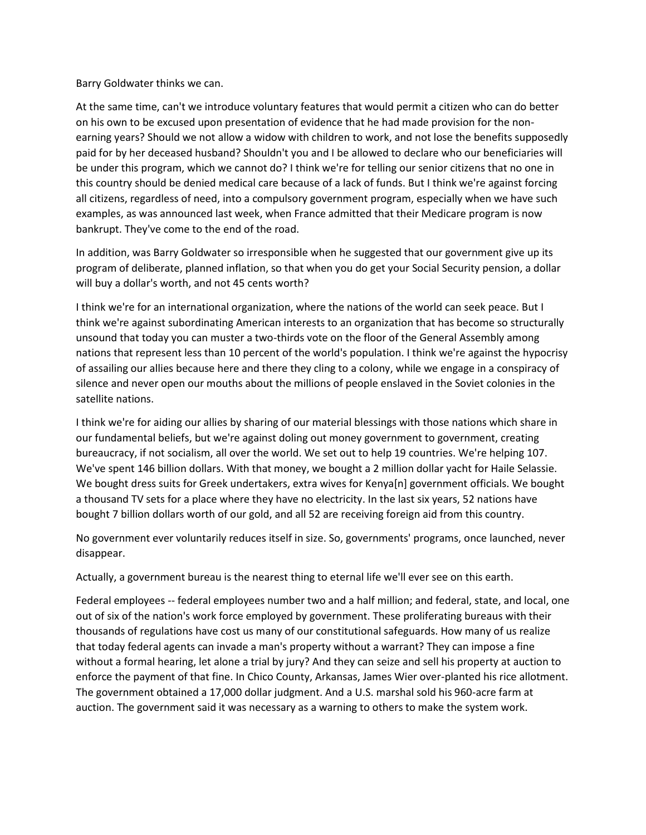## Barry Goldwater thinks we can.

At the same time, can't we introduce voluntary features that would permit a citizen who can do better on his own to be excused upon presentation of evidence that he had made provision for the nonearning years? Should we not allow a widow with children to work, and not lose the benefits supposedly paid for by her deceased husband? Shouldn't you and I be allowed to declare who our beneficiaries will be under this program, which we cannot do? I think we're for telling our senior citizens that no one in this country should be denied medical care because of a lack of funds. But I think we're against forcing all citizens, regardless of need, into a compulsory government program, especially when we have such examples, as was announced last week, when France admitted that their Medicare program is now bankrupt. They've come to the end of the road.

In addition, was Barry Goldwater so irresponsible when he suggested that our government give up its program of deliberate, planned inflation, so that when you do get your Social Security pension, a dollar will buy a dollar's worth, and not 45 cents worth?

I think we're for an international organization, where the nations of the world can seek peace. But I think we're against subordinating American interests to an organization that has become so structurally unsound that today you can muster a two-thirds vote on the floor of the General Assembly among nations that represent less than 10 percent of the world's population. I think we're against the hypocrisy of assailing our allies because here and there they cling to a colony, while we engage in a conspiracy of silence and never open our mouths about the millions of people enslaved in the Soviet colonies in the satellite nations.

I think we're for aiding our allies by sharing of our material blessings with those nations which share in our fundamental beliefs, but we're against doling out money government to government, creating bureaucracy, if not socialism, all over the world. We set out to help 19 countries. We're helping 107. We've spent 146 billion dollars. With that money, we bought a 2 million dollar yacht for Haile Selassie. We bought dress suits for Greek undertakers, extra wives for Kenya[n] government officials. We bought a thousand TV sets for a place where they have no electricity. In the last six years, 52 nations have bought 7 billion dollars worth of our gold, and all 52 are receiving foreign aid from this country.

No government ever voluntarily reduces itself in size. So, governments' programs, once launched, never disappear.

Actually, a government bureau is the nearest thing to eternal life we'll ever see on this earth.

Federal employees -- federal employees number two and a half million; and federal, state, and local, one out of six of the nation's work force employed by government. These proliferating bureaus with their thousands of regulations have cost us many of our constitutional safeguards. How many of us realize that today federal agents can invade a man's property without a warrant? They can impose a fine without a formal hearing, let alone a trial by jury? And they can seize and sell his property at auction to enforce the payment of that fine. In Chico County, Arkansas, James Wier over-planted his rice allotment. The government obtained a 17,000 dollar judgment. And a U.S. marshal sold his 960-acre farm at auction. The government said it was necessary as a warning to others to make the system work.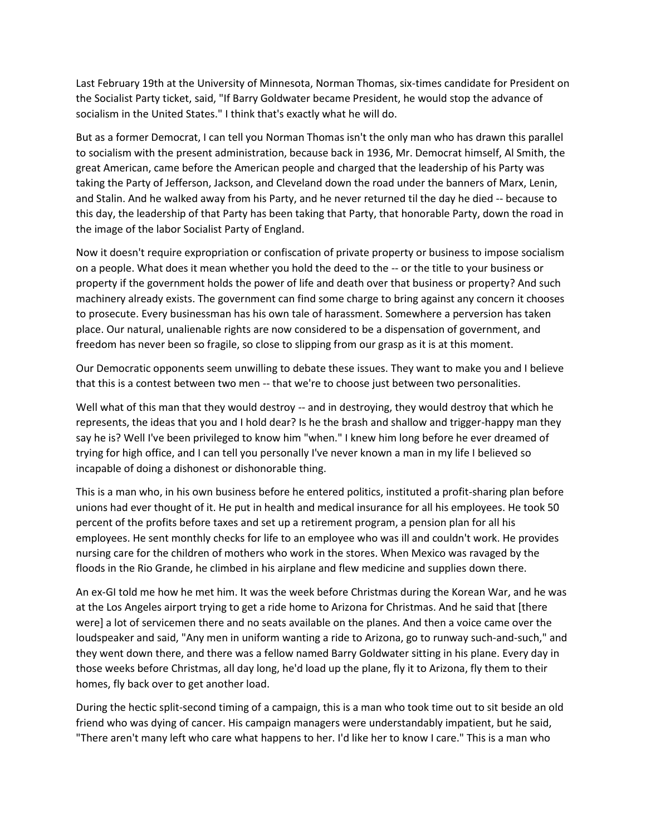Last February 19th at the University of Minnesota, Norman Thomas, six-times candidate for President on the Socialist Party ticket, said, "If Barry Goldwater became President, he would stop the advance of socialism in the United States." I think that's exactly what he will do.

But as a former Democrat, I can tell you Norman Thomas isn't the only man who has drawn this parallel to socialism with the present administration, because back in 1936, Mr. Democrat himself, Al Smith, the great American, came before the American people and charged that the leadership of his Party was taking the Party of Jefferson, Jackson, and Cleveland down the road under the banners of Marx, Lenin, and Stalin. And he walked away from his Party, and he never returned til the day he died -- because to this day, the leadership of that Party has been taking that Party, that honorable Party, down the road in the image of the labor Socialist Party of England.

Now it doesn't require expropriation or confiscation of private property or business to impose socialism on a people. What does it mean whether you hold the deed to the -- or the title to your business or property if the government holds the power of life and death over that business or property? And such machinery already exists. The government can find some charge to bring against any concern it chooses to prosecute. Every businessman has his own tale of harassment. Somewhere a perversion has taken place. Our natural, unalienable rights are now considered to be a dispensation of government, and freedom has never been so fragile, so close to slipping from our grasp as it is at this moment.

Our Democratic opponents seem unwilling to debate these issues. They want to make you and I believe that this is a contest between two men -- that we're to choose just between two personalities.

Well what of this man that they would destroy -- and in destroying, they would destroy that which he represents, the ideas that you and I hold dear? Is he the brash and shallow and trigger-happy man they say he is? Well I've been privileged to know him "when." I knew him long before he ever dreamed of trying for high office, and I can tell you personally I've never known a man in my life I believed so incapable of doing a dishonest or dishonorable thing.

This is a man who, in his own business before he entered politics, instituted a profit-sharing plan before unions had ever thought of it. He put in health and medical insurance for all his employees. He took 50 percent of the profits before taxes and set up a retirement program, a pension plan for all his employees. He sent monthly checks for life to an employee who was ill and couldn't work. He provides nursing care for the children of mothers who work in the stores. When Mexico was ravaged by the floods in the Rio Grande, he climbed in his airplane and flew medicine and supplies down there.

An ex-GI told me how he met him. It was the week before Christmas during the Korean War, and he was at the Los Angeles airport trying to get a ride home to Arizona for Christmas. And he said that [there were] a lot of servicemen there and no seats available on the planes. And then a voice came over the loudspeaker and said, "Any men in uniform wanting a ride to Arizona, go to runway such-and-such," and they went down there, and there was a fellow named Barry Goldwater sitting in his plane. Every day in those weeks before Christmas, all day long, he'd load up the plane, fly it to Arizona, fly them to their homes, fly back over to get another load.

During the hectic split-second timing of a campaign, this is a man who took time out to sit beside an old friend who was dying of cancer. His campaign managers were understandably impatient, but he said, "There aren't many left who care what happens to her. I'd like her to know I care." This is a man who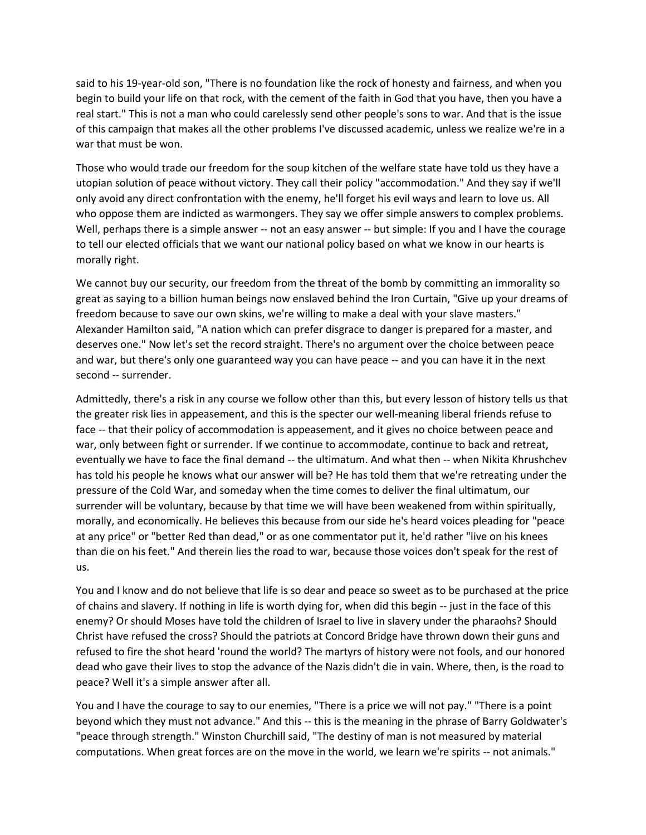said to his 19-year-old son, "There is no foundation like the rock of honesty and fairness, and when you begin to build your life on that rock, with the cement of the faith in God that you have, then you have a real start." This is not a man who could carelessly send other people's sons to war. And that is the issue of this campaign that makes all the other problems I've discussed academic, unless we realize we're in a war that must be won.

Those who would trade our freedom for the soup kitchen of the welfare state have told us they have a utopian solution of peace without victory. They call their policy "accommodation." And they say if we'll only avoid any direct confrontation with the enemy, he'll forget his evil ways and learn to love us. All who oppose them are indicted as warmongers. They say we offer simple answers to complex problems. Well, perhaps there is a simple answer -- not an easy answer -- but simple: If you and I have the courage to tell our elected officials that we want our national policy based on what we know in our hearts is morally right.

We cannot buy our security, our freedom from the threat of the bomb by committing an immorality so great as saying to a billion human beings now enslaved behind the Iron Curtain, "Give up your dreams of freedom because to save our own skins, we're willing to make a deal with your slave masters." Alexander Hamilton said, "A nation which can prefer disgrace to danger is prepared for a master, and deserves one." Now let's set the record straight. There's no argument over the choice between peace and war, but there's only one guaranteed way you can have peace -- and you can have it in the next second -- surrender.

Admittedly, there's a risk in any course we follow other than this, but every lesson of history tells us that the greater risk lies in appeasement, and this is the specter our well-meaning liberal friends refuse to face -- that their policy of accommodation is appeasement, and it gives no choice between peace and war, only between fight or surrender. If we continue to accommodate, continue to back and retreat, eventually we have to face the final demand -- the ultimatum. And what then -- when Nikita Khrushchev has told his people he knows what our answer will be? He has told them that we're retreating under the pressure of the Cold War, and someday when the time comes to deliver the final ultimatum, our surrender will be voluntary, because by that time we will have been weakened from within spiritually, morally, and economically. He believes this because from our side he's heard voices pleading for "peace at any price" or "better Red than dead," or as one commentator put it, he'd rather "live on his knees than die on his feet." And therein lies the road to war, because those voices don't speak for the rest of us.

You and I know and do not believe that life is so dear and peace so sweet as to be purchased at the price of chains and slavery. If nothing in life is worth dying for, when did this begin -- just in the face of this enemy? Or should Moses have told the children of Israel to live in slavery under the pharaohs? Should Christ have refused the cross? Should the patriots at Concord Bridge have thrown down their guns and refused to fire the shot heard 'round the world? The martyrs of history were not fools, and our honored dead who gave their lives to stop the advance of the Nazis didn't die in vain. Where, then, is the road to peace? Well it's a simple answer after all.

You and I have the courage to say to our enemies, "There is a price we will not pay." "There is a point beyond which they must not advance." And this -- this is the meaning in the phrase of Barry Goldwater's "peace through strength." Winston Churchill said, "The destiny of man is not measured by material computations. When great forces are on the move in the world, we learn we're spirits -- not animals."